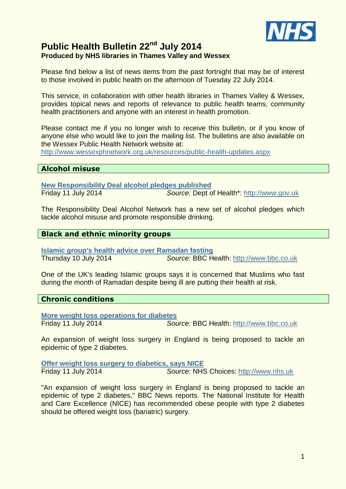

# **Public Health Bulletin 22nd July 2014 Produced by NHS libraries in Thames Valley and Wessex**

Please find below a list of news items from the past fortnight that may be of interest to those involved in public health on the afternoon of Tuesday 22 July 2014.

This service, in collaboration with other health libraries in Thames Valley & Wessex, provides topical news and reports of relevance to public health teams, community health practitioners and anyone with an interest in health promotion.

Please contact me if you no longer wish to receive this bulletin, or if you know of anyone else who would like to join the mailing list. The bulletins are also available on the Wessex Public Health Network website at:

<http://www.wessexphnetwork.org.uk/resources/public-health-updates.aspx>

#### **Alcohol misuse**

**[New Responsibility Deal alcohol pledges published](https://www.gov.uk/government/news/new-responsibility-deal-alcohol-pledges-published)** Friday 11 July 2014 *Source:* Dept of Health\*: [http://www.gov.uk](http://www.gov.uk/)

The Responsibility Deal Alcohol Network has a new set of alcohol pledges which tackle alcohol misuse and promote responsible drinking.

#### **Black and ethnic minority groups**

**[Islamic group's health advice over Ramadan fasting](http://www.bbc.co.uk/news/health-28252730)** Thursday 10 July 2014 *Source:* BBC Health: [http://www.bbc.co.uk](http://www.bbc.co.uk/)

One of the UK's leading Islamic groups says it is concerned that Muslims who fast during the month of Ramadan despite being ill are putting their health at risk.

#### **Chronic conditions**

**[More weight loss operations for diabetes](http://www.bbc.co.uk/news/health-28246641)** Friday 11 July 2014 *Source:* BBC Health: [http://www.bbc.co.uk](http://www.bbc.co.uk/)

An expansion of weight loss surgery in England is being proposed to tackle an epidemic of type 2 diabetes.

**[Offer weight loss surgery to diabetics, says NICE](http://www.nhs.uk/news/2014/07July/Pages/Offer-weight-loss-surgery-to-diabetics-says-NICE.aspx)** Friday 11 July 2014 *Source*: NHS Choices: [http://www.nhs.uk](http://www.nhs.uk/)

"An expansion of weight loss surgery in England is being proposed to tackle an epidemic of type 2 diabetes," BBC News reports. The National Institute for Health and Care Excellence (NICE) has recommended obese people with type 2 diabetes should be offered weight loss (bariatric) surgery.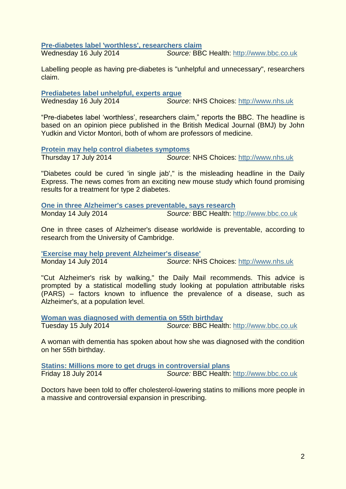**[Pre-diabetes label 'worthless', researchers claim](http://www.bbc.co.uk/news/health-28310871)**

Wednesday 16 July 2014 *Source:* BBC Health: [http://www.bbc.co.uk](http://www.bbc.co.uk/)

Labelling people as having pre-diabetes is "unhelpful and unnecessary", researchers claim.

**[Prediabetes label unhelpful, experts argue](http://www.nhs.uk/news/2014/07July/Pages/Prediabetes-label-unhelpful-experts-argue.aspx)** Wednesday 16 July 2014 *Source*: NHS Choices: [http://www.nhs.uk](http://www.nhs.uk/)

"Pre-diabetes label 'worthless', researchers claim," reports the BBC. The headline is based on an opinion piece published in the British Medical Journal (BMJ) by John Yudkin and Victor Montori, both of whom are professors of medicine.

**[Protein may help control diabetes symptoms](http://www.nhs.uk/news/2014/07July/Pages/Protein-may-help-control-diabetes-symptoms.aspx)** Thursday 17 July 2014 *Source*: NHS Choices: [http://www.nhs.uk](http://www.nhs.uk/)

"Diabetes could be cured 'in single jab'," is the misleading headline in the Daily Express. The news comes from an exciting new mouse study which found promising results for a treatment for type 2 diabetes.

**[One in three Alzheimer's cases preventable, says research](http://www.bbc.co.uk/news/health-28262878)** Monday 14 July 2014 *Source:* BBC Health: [http://www.bbc.co.uk](http://www.bbc.co.uk/)

One in three cases of Alzheimer's disease worldwide is preventable, according to research from the University of Cambridge.

**['Exercise may help prevent Alzheimer's disease'](http://www.nhs.uk/news/2014/07July/Pages/Exercise-may-help-prevent-Alzheimers-disease.aspx)** Monday 14 July 2014 *Source*: NHS Choices: [http://www.nhs.uk](http://www.nhs.uk/)

"Cut Alzheimer's risk by walking," the Daily Mail recommends. This advice is prompted by a statistical modelling study looking at population attributable risks (PARS) – factors known to influence the prevalence of a disease, such as Alzheimer's, at a population level.

**[Woman was diagnosed with dementia on 55th birthday](http://www.bbc.co.uk/news/health-28314158)** Tuesday 15 July 2014 *Source:* BBC Health: [http://www.bbc.co.uk](http://www.bbc.co.uk/)

A woman with dementia has spoken about how she was diagnosed with the condition on her 55th birthday.

**[Statins: Millions more to get drugs in controversial plans](http://www.bbc.co.uk/news/health-28352290)** Friday 18 July 2014 *Source:* BBC Health: [http://www.bbc.co.uk](http://www.bbc.co.uk/)

Doctors have been told to offer cholesterol-lowering statins to millions more people in a massive and controversial expansion in prescribing.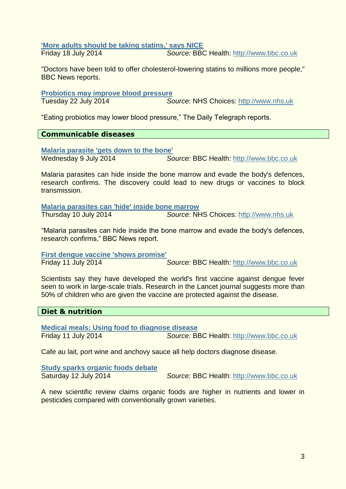**['More adults should be taking statins,' says NICE](http://www.nhs.uk/news/2014/07July/Pages/More-adults-should-be-taking-statins-says-NICE.aspx)**

Friday 18 July 2014 *Source:* BBC Health: [http://www.bbc.co.uk](http://www.bbc.co.uk/)

"Doctors have been told to offer cholesterol-lowering statins to millions more people," BBC News reports.

#### **[Probiotics may improve blood pressure](http://www.nhs.uk/news/2014/07July/Pages/Probiotics-may-help-improve-blood-pressure.aspx)**

Tuesday 22 July 2014 *Source*: NHS Choices: [http://www.nhs.uk](http://www.nhs.uk/)

"Eating probiotics may lower blood pressure," The Daily Telegraph reports.

# **Communicable diseases**

**[Malaria parasite 'gets down to the bone'](http://www.bbc.co.uk/news/health-28235609)** Wednesday 9 July 2014 *Source:* BBC Health: [http://www.bbc.co.uk](http://www.bbc.co.uk/)

Malaria parasites can hide inside the bone marrow and evade the body's defences, research confirms. The discovery could lead to new drugs or vaccines to block transmission.

**[Malaria parasites can 'hide' inside bone marrow](http://www.nhs.uk/news/2014/07July/Pages/Malaria-parasites-can-hide-inside-bone-marrow.aspx)** Thursday 10 July 2014 *Source*: NHS Choices: [http://www.nhs.uk](http://www.nhs.uk/)

"Malaria parasites can hide inside the bone marrow and evade the body's defences, research confirms," BBC News report.

**[First dengue vaccine 'shows promise'](http://www.bbc.co.uk/news/health-28243587)**

Friday 11 July 2014 *Source:* BBC Health: [http://www.bbc.co.uk](http://www.bbc.co.uk/)

Scientists say they have developed the world's first vaccine against dengue fever seen to work in large-scale trials. Research in the Lancet journal suggests more than 50% of children who are given the vaccine are protected against the disease.

#### **Diet & nutrition**

**[Medical meals: Using food to diagnose disease](http://www.bbc.co.uk/news/health-28267112)** Friday 11 July 2014 *Source:* BBC Health: [http://www.bbc.co.uk](http://www.bbc.co.uk/)

Cafe au lait, port wine and anchovy sauce all help doctors diagnose disease.

**[Study sparks organic foods debate](http://www.bbc.co.uk/news/science-environment-28275464)**

Saturday 12 July 2014 *Source:* BBC Health: [http://www.bbc.co.uk](http://www.bbc.co.uk/)

A new scientific review claims organic foods are higher in nutrients and lower in pesticides compared with conventionally grown varieties.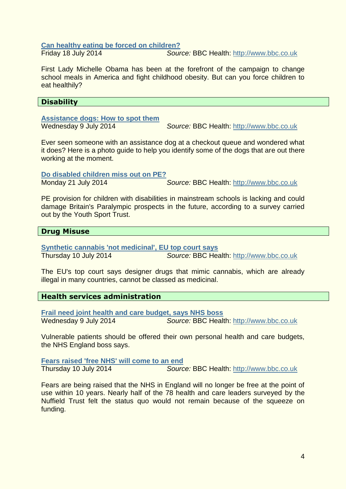#### **[Can healthy eating be forced on children?](http://www.bbc.co.uk/news/world-us-canada-28355461)**

Friday 18 July 2014 *Source:* BBC Health: [http://www.bbc.co.uk](http://www.bbc.co.uk/)

First Lady Michelle Obama has been at the forefront of the campaign to change school meals in America and fight childhood obesity. But can you force children to eat healthily?

#### **Disability**

#### **[Assistance dogs: How to spot them](http://www.bbc.co.uk/news/blogs-ouch-28195268)**

Wednesday 9 July 2014 *Source:* BBC Health: [http://www.bbc.co.uk](http://www.bbc.co.uk/)

Ever seen someone with an assistance dog at a checkout queue and wondered what it does? Here is a photo guide to help you identify some of the dogs that are out there working at the moment.

#### **[Do disabled children miss out on PE?](http://www.bbc.co.uk/news/uk-28397795)**

Monday 21 July 2014 *Source:* BBC Health: [http://www.bbc.co.uk](http://www.bbc.co.uk/)

PE provision for children with disabilities in mainstream schools is lacking and could damage Britain's Paralympic prospects in the future, according to a survey carried out by the Youth Sport Trust.

#### **Drug Misuse**

**[Synthetic cannabis 'not medicinal', EU top court says](http://www.bbc.co.uk/news/world-europe-28243083)** Thursday 10 July 2014 *Source:* BBC Health: [http://www.bbc.co.uk](http://www.bbc.co.uk/)

The EU's top court says designer drugs that mimic cannabis, which are already illegal in many countries, cannot be classed as medicinal.

# **Health services administration**

**[Frail need joint health and care budget, says NHS boss](http://www.bbc.co.uk/news/health-28229243)** Wednesday 9 July 2014 *Source:* BBC Health: [http://www.bbc.co.uk](http://www.bbc.co.uk/)

Vulnerable patients should be offered their own personal health and care budgets, the NHS England boss says.

**[Fears raised 'free NHS' will come to an end](http://www.bbc.co.uk/news/health-28235850)** Thursday 10 July 2014 *Source:* BBC Health: [http://www.bbc.co.uk](http://www.bbc.co.uk/)

Fears are being raised that the NHS in England will no longer be free at the point of use within 10 years. Nearly half of the 78 health and care leaders surveyed by the Nuffield Trust felt the status quo would not remain because of the squeeze on funding.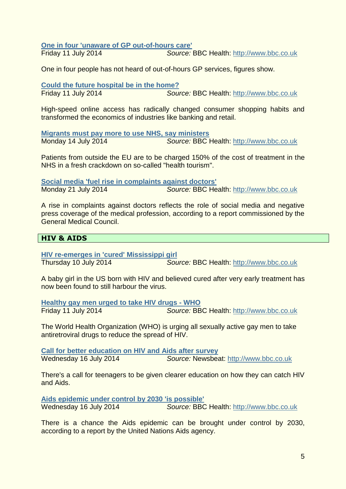**[One in four 'unaware of GP out-of-hours care'](http://www.bbc.co.uk/news/health-28243491)**

Friday 11 July 2014 *Source:* BBC Health: [http://www.bbc.co.uk](http://www.bbc.co.uk/)

One in four people has not heard of out-of-hours GP services, figures show.

**[Could the future hospital be in the home?](http://www.bbc.co.uk/news/health-28272809)**

Friday 11 July 2014 *Source:* BBC Health: [http://www.bbc.co.uk](http://www.bbc.co.uk/)

High-speed online access has radically changed consumer shopping habits and transformed the economics of industries like banking and retail.

**[Migrants must pay more to use NHS, say ministers](http://www.bbc.co.uk/news/uk-politics-28291276)** Monday 14 July 2014 *Source:* BBC Health: [http://www.bbc.co.uk](http://www.bbc.co.uk/)

Patients from outside the EU are to be charged 150% of the cost of treatment in the NHS in a fresh crackdown on so-called "health tourism".

**[Social media 'fuel rise in complaints against doctors'](http://www.bbc.co.uk/news/health-28368216)** Monday 21 July 2014 *Source:* BBC Health: [http://www.bbc.co.uk](http://www.bbc.co.uk/)

A rise in complaints against doctors reflects the role of social media and negative press coverage of the medical profession, according to a report commissioned by the General Medical Council.

# **HIV & AIDS**

**[HIV re-emerges in 'cured' Mississippi girl](http://www.bbc.co.uk/news/health-28257768)** Thursday 10 July 2014 *Source:* BBC Health: [http://www.bbc.co.uk](http://www.bbc.co.uk/)

A baby girl in the US born with HIV and believed cured after very early treatment has now been found to still harbour the virus.

**[Healthy gay men urged to take HIV drugs -](http://www.bbc.co.uk/news/health-28264436) WHO** Friday 11 July 2014 *Source:* BBC Health: [http://www.bbc.co.uk](http://www.bbc.co.uk/)

The World Health Organization (WHO) is urging all sexually active gay men to take antiretroviral drugs to reduce the spread of HIV.

**[Call for better education on HIV and Aids after survey](http://www.bbc.co.uk/newsbeat/28317954#sa-ns_mchannel=rss&ns_source=PublicRSS20-sa)** Wednesday 16 July 2014 *Source:* Newsbeat: [http://www.bbc.co.uk](http://www.bbc.co.uk/)

There's a call for teenagers to be given clearer education on how they can catch HIV and Aids.

**[Aids epidemic under control by 2030 'is possible'](http://www.bbc.co.uk/news/health-28325761)** Wednesday 16 July 2014 *Source:* BBC Health: [http://www.bbc.co.uk](http://www.bbc.co.uk/)

There is a chance the Aids epidemic can be brought under control by 2030, according to a report by the United Nations Aids agency.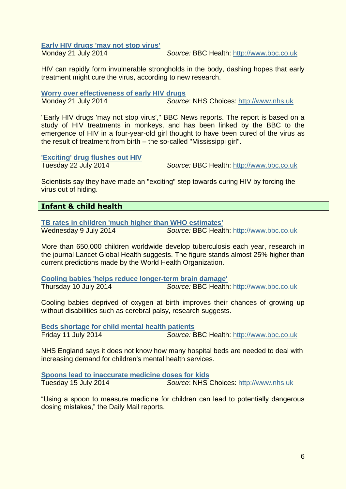#### **[Early HIV drugs 'may not stop virus'](http://www.bbc.co.uk/news/health-28352370)**

Monday 21 July 2014 *Source:* BBC Health: [http://www.bbc.co.uk](http://www.bbc.co.uk/)

HIV can rapidly form invulnerable strongholds in the body, dashing hopes that early treatment might cure the virus, according to new research.

**[Worry over effectiveness of early HIV drugs](http://www.nhs.uk/news/2014/07July/Pages/worry-over-effectiveness-of-early-hiv-drugs.aspx)** Monday 21 July 2014 *Source*: NHS Choices: [http://www.nhs.uk](http://www.nhs.uk/)

"Early HIV drugs 'may not stop virus'," BBC News reports. The report is based on a study of HIV treatments in monkeys, and has been linked by the BBC to the emergence of HIV in a four-year-old girl thought to have been cured of the virus as the result of treatment from birth – the so-called "Mississippi girl".

**['Exciting' drug flushes out HIV](http://www.bbc.co.uk/news/health-28159515)**

Tuesday 22 July 2014 *Source:* BBC Health: [http://www.bbc.co.uk](http://www.bbc.co.uk/)

Scientists say they have made an "exciting" step towards curing HIV by forcing the virus out of hiding.

# **Infant & child health**

**[TB rates in children 'much higher than WHO estimates'](http://www.bbc.co.uk/news/health-28209336)** Wednesday 9 July 2014 *Source:* BBC Health: [http://www.bbc.co.uk](http://www.bbc.co.uk/)

More than 650,000 children worldwide develop tuberculosis each year, research in the journal Lancet Global Health suggests. The figure stands almost 25% higher than current predictions made by the World Health Organization.

**[Cooling babies 'helps reduce longer-term brain damage'](http://www.bbc.co.uk/news/health-28243578)** Thursday 10 July 2014 *Source:* BBC Health: [http://www.bbc.co.uk](http://www.bbc.co.uk/)

Cooling babies deprived of oxygen at birth improves their chances of growing up without disabilities such as cerebral palsy, research suggests.

**[Beds shortage for child mental health patients](http://www.bbc.co.uk/news/health-28255930)** Friday 11 July 2014 *Source:* BBC Health: [http://www.bbc.co.uk](http://www.bbc.co.uk/)

NHS England says it does not know how many hospital beds are needed to deal with increasing demand for children's mental health services.

**[Spoons lead to inaccurate medicine doses for kids](http://www.nhs.uk/news/2014/07July/Pages/Spoons-lead-to-inaccurate-medicine-doses-for-kids.aspx)** Tuesday 15 July 2014 *Source*: NHS Choices: [http://www.nhs.uk](http://www.nhs.uk/)

"Using a spoon to measure medicine for children can lead to potentially dangerous dosing mistakes," the Daily Mail reports.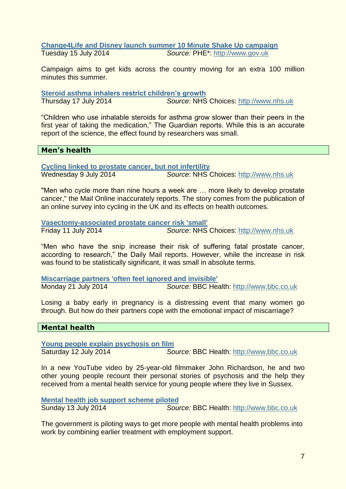#### **[Change4Life and Disney launch summer 10 Minute Shake Up campaign](https://www.gov.uk/government/news/change4life-and-disney-launch-summer-10-minute-shake-up-campaign)** Tuesday 15 July 2014 *Source:* PHE\*: [http://www.gov.uk](http://www.gov.uk/)

Campaign aims to get kids across the country moving for an extra 100 million minutes this summer.

**[Steroid asthma inhalers restrict children's growth](http://www.nhs.uk/news/2014/07July/Pages/Asthma-inhalers-restrict-childrens-growth.aspx)**

Thursday 17 July 2014 *Source*: NHS Choices: [http://www.nhs.uk](http://www.nhs.uk/)

"Children who use inhalable steroids for asthma grow slower than their peers in the first year of taking the medication," The Guardian reports. While this is an accurate report of the science, the effect found by researchers was small.

**Men's health**

**[Cycling linked to prostate cancer, but not infertility](http://www.nhs.uk/news/2014/07July/Pages/Cycling-linked-to-prostate-cancer-but-not-infertility.aspx)** Wednesday 9 July 2014 *Source*: NHS Choices: [http://www.nhs.uk](http://www.nhs.uk/)

"Men who cycle more than nine hours a week are … more likely to develop prostate cancer," the Mail Online inaccurately reports. The story comes from the publication of an online survey into cycling in the UK and its effects on health outcomes.

**[Vasectomy-associated prostate cancer risk 'small'](http://www.nhs.uk/news/2014/07July/Pages/Vasectomy-associated-prostate-cancer-risk-small.aspx)** Friday 11 July 2014 *Source*: NHS Choices: [http://www.nhs.uk](http://www.nhs.uk/)

"Men who have the snip increase their risk of suffering fatal prostate cancer, according to research," the Daily Mail reports. However, while the increase in risk was found to be statistically significant, it was small in absolute terms.

**[Miscarriage partners 'often feel ignored and invisible'](http://www.bbc.co.uk/news/health-28349477)** Monday 21 July 2014 *Source:* BBC Health: [http://www.bbc.co.uk](http://www.bbc.co.uk/)

Losing a baby early in pregnancy is a distressing event that many women go through. But how do their partners cope with the emotional impact of miscarriage?

#### **Mental health**

**[Young people explain psychosis on film](http://www.bbc.co.uk/news/blogs-ouch-28251458)**

Saturday 12 July 2014 *Source:* BBC Health: [http://www.bbc.co.uk](http://www.bbc.co.uk/)

In a new YouTube video by 25-year-old filmmaker John Richardson, he and two other young people recount their personal stories of psychosis and the help they received from a mental health service for young people where they live in Sussex.

**[Mental health job support scheme piloted](http://www.bbc.co.uk/news/uk-28281839)** Sunday 13 July 2014 *Source:* BBC Health: [http://www.bbc.co.uk](http://www.bbc.co.uk/)

The government is piloting ways to get more people with mental health problems into work by combining earlier treatment with employment support.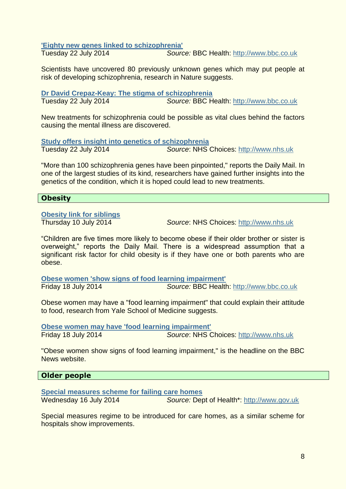**['Eighty new genes linked to schizophrenia'](http://www.bbc.co.uk/news/health-28401693)**

Tuesday 22 July 2014 *Source:* BBC Health: [http://www.bbc.co.uk](http://www.bbc.co.uk/)

Scientists have uncovered 80 previously unknown genes which may put people at risk of developing schizophrenia, research in Nature suggests.

**[Dr David Crepaz-Keay: The stigma of schizophrenia](http://www.bbc.co.uk/news/uk-wales-28423862)** Tuesday 22 July 2014 *Source:* BBC Health: [http://www.bbc.co.uk](http://www.bbc.co.uk/)

New treatments for schizophrenia could be possible as vital clues behind the factors causing the mental illness are discovered.

**[Study offers insight into genetics of schizophrenia](http://www.nhs.uk/news/2014/07July/Pages/Study-offers-insights-into-genetics-of-schizophrenia.aspx)** Tuesday 22 July 2014 *Source*: NHS Choices: [http://www.nhs.uk](http://www.nhs.uk/)

"More than 100 schizophrenia genes have been pinpointed," reports the Daily Mail. In one of the largest studies of its kind, researchers have gained further insights into the genetics of the condition, which it is hoped could lead to new treatments.

# **Obesity**

**[Obesity link for siblings](http://www.nhs.uk/news/2014/07July/Pages/Obesity-link-for-siblings.aspx)**

Thursday 10 July 2014 *Source*: NHS Choices: [http://www.nhs.uk](http://www.nhs.uk/)

"Children are five times more likely to become obese if their older brother or sister is overweight," reports the Daily Mail. There is a widespread assumption that a significant risk factor for child obesity is if they have one or both parents who are obese.

**[Obese women 'show signs of food learning impairment'](http://www.bbc.co.uk/news/health-28348368)** Friday 18 July 2014 *Source:* BBC Health: [http://www.bbc.co.uk](http://www.bbc.co.uk/)

Obese women may have a "food learning impairment" that could explain their attitude to food, research from Yale School of Medicine suggests.

**[Obese women may have 'food learning impairment'](http://www.nhs.uk/news/2014/07July/Pages/Obese-women-have-food-learning-impairment.aspx)** Friday 18 July 2014 *Source*: NHS Choices: [http://www.nhs.uk](http://www.nhs.uk/)

"Obese women show signs of food learning impairment," is the headline on the BBC News website.

# **Older people**

**[Special measures scheme for failing care homes](https://www.gov.uk/government/news/special-measures-scheme-for-failing-care-homes)** Wednesday 16 July 2014 *Source:* Dept of Health\*: [http://www.gov.uk](http://www.gov.uk/)

Special measures regime to be introduced for care homes, as a similar scheme for hospitals show improvements.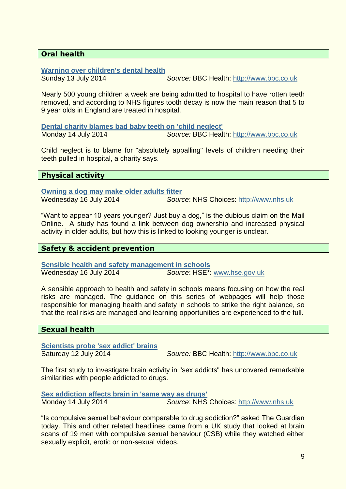# **Oral health**

#### **[Warning over children's dental health](http://www.bbc.co.uk/news/health-28285290)**

Sunday 13 July 2014 *Source:* BBC Health: [http://www.bbc.co.uk](http://www.bbc.co.uk/)

Nearly 500 young children a week are being admitted to hospital to have rotten teeth removed, and according to NHS figures tooth decay is now the main reason that 5 to 9 year olds in England are treated in hospital.

**[Dental charity blames bad baby teeth on 'child neglect'](http://www.bbc.co.uk/news/health-28292448)** Monday 14 July 2014 *Source:* BBC Health: [http://www.bbc.co.uk](http://www.bbc.co.uk/)

Child neglect is to blame for "absolutely appalling" levels of children needing their teeth pulled in hospital, a charity says.

#### **Physical activity**

**[Owning a dog may make older adults fitter](http://www.nhs.uk/news/2014/07July/Pages/Owning-a-dog-may-make-older-adults-fitter.aspx)**

Wednesday 16 July 2014 *Source*: NHS Choices: [http://www.nhs.uk](http://www.nhs.uk/)

"Want to appear 10 years younger? Just buy a dog," is the dubious claim on the Mail Online. A study has found a link between dog ownership and increased physical activity in older adults, but how this is linked to looking younger is unclear.

#### **Safety & accident prevention**

**[Sensible health and safety management in schools](http://www.hse.gov.uk/services/education/sensible-leadership/index.htm)** Wednesday 16 July 2014 *Source*: HSE\*: [www.hse.gov.uk](http://www.hse.gov.uk/)

A sensible approach to health and safety in schools means focusing on how the real risks are managed. The guidance on this series of webpages will help those responsible for managing health and safety in schools to strike the right balance, so that the real risks are managed and learning opportunities are experienced to the full.

#### **Sexual health**

**[Scientists probe 'sex addict' brains](http://www.bbc.co.uk/news/health-28252612)**

Saturday 12 July 2014 *Source:* BBC Health: [http://www.bbc.co.uk](http://www.bbc.co.uk/)

The first study to investigate brain activity in "sex addicts" has uncovered remarkable similarities with people addicted to drugs.

**[Sex addiction affects brain in 'same way as drugs'](http://www.nhs.uk/news/2014/07July/Pages/Sex-addiction-effects-brain-in-same-way-as-drugs.aspx)**

Monday 14 July 2014 *Source*: NHS Choices: [http://www.nhs.uk](http://www.nhs.uk/)

"Is compulsive sexual behaviour comparable to drug addiction?" asked The Guardian today. This and other related headlines came from a UK study that looked at brain scans of 19 men with compulsive sexual behaviour (CSB) while they watched either sexually explicit, erotic or non-sexual videos.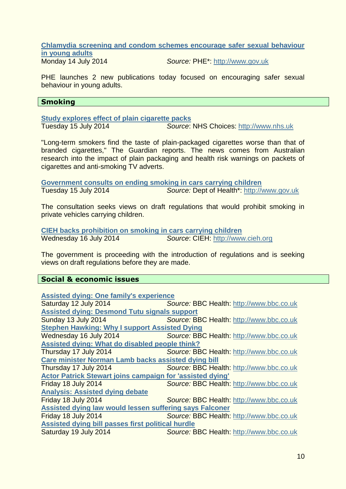#### **[Chlamydia screening and condom schemes encourage safer sexual behaviour](https://www.gov.uk/government/news/chlamydia-screening-and-condom-schemes-encourage-safer-sexual-behaviour-in-young-adults)  [in young adults](https://www.gov.uk/government/news/chlamydia-screening-and-condom-schemes-encourage-safer-sexual-behaviour-in-young-adults)**

Monday 14 July 2014 *Source:* PHE\*: [http://www.gov.uk](http://www.gov.uk/)

PHE launches 2 new publications today focused on encouraging safer sexual behaviour in young adults.

#### **Smoking**

**[Study explores effect of plain cigarette packs](http://www.nhs.uk/news/2014/07July/Pages/Study-explores-effect-of-plain-cigarette-packs.aspx)**

Tuesday 15 July 2014 *Source*: NHS Choices: [http://www.nhs.uk](http://www.nhs.uk/)

"Long-term smokers find the taste of plain-packaged cigarettes worse than that of branded cigarettes," The Guardian reports. The news comes from Australian research into the impact of plain packaging and health risk warnings on packets of cigarettes and anti-smoking TV adverts.

**[Government consults on ending smoking in cars carrying children](https://www.gov.uk/government/news/government-consults-on-ending-smoking-in-cars-carrying-children)** Tuesday 15 July 2014 *Source:* Dept of Health\*: [http://www.gov.uk](http://www.gov.uk/)

The consultation seeks views on draft regulations that would prohibit smoking in private vehicles carrying children.

**[CIEH backs prohibition on smoking in cars carrying children](http://www.cieh.org/media/media3.aspx?id=53526)** Wednesday 16 July 2014 *Source*: CIEH: [http://www.cieh.org](http://www.cieh.org/)

The government is proceeding with the introduction of regulations and is seeking views on draft regulations before they are made.

#### **Social & economic issues**

| <b>Assisted dying: One family's experience</b>                   |                                                 |  |
|------------------------------------------------------------------|-------------------------------------------------|--|
| Saturday 12 July 2014                                            | Source: BBC Health: http://www.bbc.co.uk        |  |
| <b>Assisted dying: Desmond Tutu signals support</b>              |                                                 |  |
| Sunday 13 July 2014                                              | Source: BBC Health: http://www.bbc.co.uk        |  |
| <b>Stephen Hawking: Why I support Assisted Dying</b>             |                                                 |  |
| Wednesday 16 July 2014                                           | <b>Source: BBC Health: http://www.bbc.co.uk</b> |  |
| Assisted dying: What do disabled people think?                   |                                                 |  |
| Thursday 17 July 2014                                            | Source: BBC Health: http://www.bbc.co.uk        |  |
| Care minister Norman Lamb backs assisted dying bill              |                                                 |  |
| Thursday 17 July 2014                                            | <b>Source: BBC Health: http://www.bbc.co.uk</b> |  |
| <b>Actor Patrick Stewart joins campaign for 'assisted dying'</b> |                                                 |  |
| Friday 18 July 2014                                              | Source: BBC Health: http://www.bbc.co.uk        |  |
| <b>Analysis: Assisted dying debate</b>                           |                                                 |  |
| Friday 18 July 2014                                              | Source: BBC Health: http://www.bbc.co.uk        |  |
| Assisted dying law would lessen suffering says Falconer          |                                                 |  |
| Friday 18 July 2014                                              | Source: BBC Health: http://www.bbc.co.uk        |  |
| Assisted dying bill passes first political hurdle                |                                                 |  |
| Saturday 19 July 2014                                            | Source: BBC Health: http://www.bbc.co.uk        |  |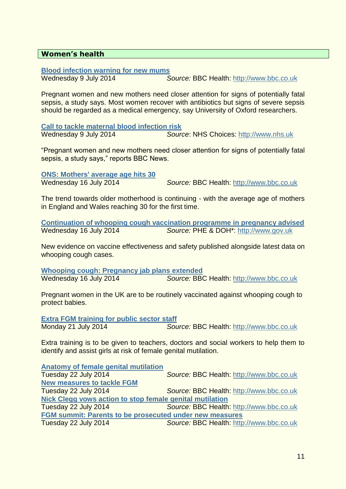#### **Women's health**

**[Blood infection warning for new mums](http://www.bbc.co.uk/news/health-28217712)**

Wednesday 9 July 2014 *Source:* BBC Health: [http://www.bbc.co.uk](http://www.bbc.co.uk/)

Pregnant women and new mothers need closer attention for signs of potentially fatal sepsis, a study says. Most women recover with antibiotics but signs of severe sepsis should be regarded as a medical emergency, say University of Oxford researchers.

**[Call to tackle maternal blood infection risk](http://www.nhs.uk/news/2014/07July/Pages/Mums-to-be-and-new-mums-blood-infection-risk.aspx)** Wednesday 9 July 2014 *Source*: NHS Choices: [http://www.nhs.uk](http://www.nhs.uk/)

"Pregnant women and new mothers need closer attention for signs of potentially fatal sepsis, a study says," reports BBC News.

**[ONS: Mothers' average age hits 30](http://www.bbc.co.uk/news/health-28329737)**

Wednesday 16 July 2014 *Source:* BBC Health: [http://www.bbc.co.uk](http://www.bbc.co.uk/)

The trend towards older motherhood is continuing - with the average age of mothers in England and Wales reaching 30 for the first time.

**[Continuation of whooping cough vaccination programme in pregnancy advised](https://www.gov.uk/government/news/continuation-of-whooping-cough-vaccination-programme-in-pregnancy-advised)** Wednesday 16 July 2014 *Source:* PHE & DOH\*: [http://www.gov.uk](http://www.gov.uk/)

New evidence on vaccine effectiveness and safety published alongside latest data on whooping cough cases.

**[Whooping cough: Pregnancy jab plans extended](http://www.bbc.co.uk/news/health-28325762)** Wednesday 16 July 2014 *Source:* BBC Health: [http://www.bbc.co.uk](http://www.bbc.co.uk/)

Pregnant women in the UK are to be routinely vaccinated against whooping cough to protect babies.

**[Extra FGM training for public sector staff](http://www.bbc.co.uk/news/uk-28396889)** Monday 21 July 2014 *Source:* BBC Health: [http://www.bbc.co.uk](http://www.bbc.co.uk/)

Extra training is to be given to teachers, doctors and social workers to help them to identify and assist girls at risk of female genital mutilation.

**[Anatomy of female genital mutilation](http://www.bbc.co.uk/news/health-27188190)** Tuesday 22 July 2014 *Source:* BBC Health: [http://www.bbc.co.uk](http://www.bbc.co.uk/) **[New measures to tackle FGM](http://www.bbc.co.uk/news/uk-28416066)** Tuesday 22 July 2014 *Source:* BBC Health: [http://www.bbc.co.uk](http://www.bbc.co.uk/) **[Nick Clegg vows action to stop female genital mutilation](http://www.bbc.co.uk/news/uk-28415754)**

Tuesday 22 July 2014 *Source:* BBC Health: [http://www.bbc.co.uk](http://www.bbc.co.uk/) **[FGM summit: Parents to be prosecuted under new measures](http://www.bbc.co.uk/news/uk-28412179)**

Tuesday 22 July 2014 *Source:* BBC Health: [http://www.bbc.co.uk](http://www.bbc.co.uk/)